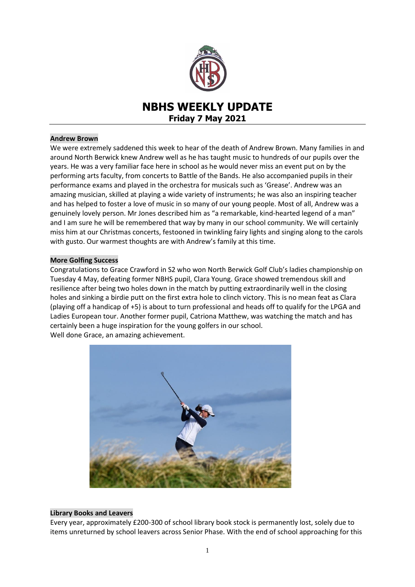

# **NBHS WEEKLY UPDATE Friday 7 May 2021**

## **Andrew Brown**

We were extremely saddened this week to hear of the death of Andrew Brown. Many families in and around North Berwick knew Andrew well as he has taught music to hundreds of our pupils over the years. He was a very familiar face here in school as he would never miss an event put on by the performing arts faculty, from concerts to Battle of the Bands. He also accompanied pupils in their performance exams and played in the orchestra for musicals such as 'Grease'. Andrew was an amazing musician, skilled at playing a wide variety of instruments; he was also an inspiring teacher and has helped to foster a love of music in so many of our young people. Most of all, Andrew was a genuinely lovely person. Mr Jones described him as "a remarkable, kind-hearted legend of a man" and I am sure he will be remembered that way by many in our school community. We will certainly miss him at our Christmas concerts, festooned in twinkling fairy lights and singing along to the carols with gusto. Our warmest thoughts are with Andrew's family at this time.

## **More Golfing Success**

Congratulations to Grace Crawford in S2 who won North Berwick Golf Club's ladies championship on Tuesday 4 May, defeating former NBHS pupil, Clara Young. Grace showed tremendous skill and resilience after being two holes down in the match by putting extraordinarily well in the closing holes and sinking a birdie putt on the first extra hole to clinch victory. This is no mean feat as Clara (playing off a handicap of +5) is about to turn professional and heads off to qualify for the LPGA and Ladies European tour. Another former pupil, Catriona Matthew, was watching the match and has certainly been a huge inspiration for the young golfers in our school. Well done Grace, an amazing achievement.



## **Library Books and Leavers**

Every year, approximately £200-300 of school library book stock is permanently lost, solely due to items unreturned by school leavers across Senior Phase. With the end of school approaching for this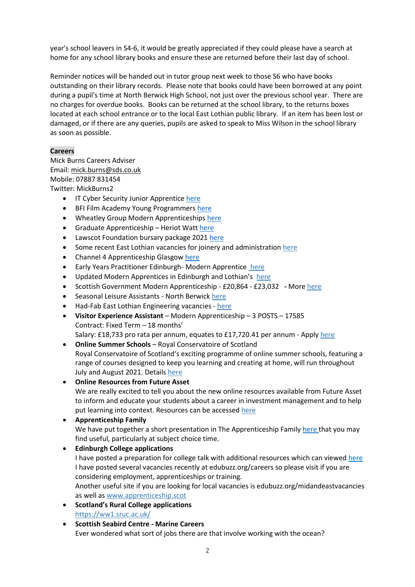year's school leavers in S4-6, it would be greatly appreciated if they could please have a search at home for any school library books and ensure these are returned before their last day of school.

Reminder notices will be handed out in tutor group next week to those S6 who have books outstanding on their library records. Please note that books could have been borrowed at any point during a pupil's time at North Berwick High School, not just over the previous school year. There are no charges for overdue books. Books can be returned at the school library, to the returns boxes located at each school entrance or to the local East Lothian public library. If an item has been lost or damaged, or if there are any queries, pupils are asked to speak to Miss Wilson in the school library as soon as possible.

# **Careers**

Mick Burns Careers Adviser Email: [mick.burns@sds.co.uk](https://mail.elcschool.org.uk/owa/redir.aspx?C=fbGa3DGVrsUoQB2CnJP23eXwMGzxu7J1CtarT6dTOwkq_NlpJujXCA..&URL=mailto%3amick.burns%40sds.co.uk) Mobile: 07887 831454 Twitter: MickBurns2

- **IT Cyber Security Junior Apprentice [here](https://www.edubuzz.org/careers/2021/05/05/it-cyber-security-junior-apprentice/)**
- BFI Film Academy Young Programmers [here](https://www.edubuzz.org/careers/2021/05/05/bfi-film-academy-young-programmers/)
- Wheatley Group Modern Apprenticeships [here](https://www.edubuzz.org/careers/2021/05/05/wheatley-group-modern-apprenticeships/)
- **Graduate Apprenticeship Heriot Watt [here](https://www.edubuzz.org/careers/2021/05/04/graduate-apprenticeship-administrative-assistant-heriot-watt-university/)**
- Lawscot Foundation bursary package 202[1 here](https://www.edubuzz.org/careers/2021/05/04/lawscot-foundation-bursary-package-2021/)
- Some recent East Lothian vacancies for joinery and administration [here](https://www.edubuzz.org/careers/2021/04/22/east-lothian-vacancies-3/)
- Channel 4 Apprenticeship Glasgow [here](https://www.edubuzz.org/careers/2021/04/28/daytime-and-features-commissioning-apprentice-glasgow/)
- Early Years Practitioner Edinburgh-Modern Apprentic[e here](https://www.edubuzz.org/careers/2021/04/22/modern-apprentice-early-years-practitioner-edinburgh/)
- Updated Modern Apprentices in Edinburgh and Lothian's[here](https://www.edubuzz.org/careers/2021/04/27/mas-edinburgh-and-lothians/)
- Scottish Government Modern Apprenticeship £20,864 £23,032 **-** Mor[e here](https://www.edubuzz.org/careers/2021/04/27/modern-apprenticeship-scottish-government-4/)
- Seasonal Leisure Assistants North Berwick [here](https://www.edubuzz.org/careers/2021/04/28/seasonal-leisure-assistants-north-berwick/)
- Had-Fab East Lothian Engineering vacancies [here](https://www.edubuzz.org/careers/2021/04/27/had-fab-east-lothian-vacancies/)
- **Visitor Experience Assistant** Modern Apprenticeship 3 POSTS 17585 Contract: Fixed Term – 18 months' Salary: £18,733 pro rata per annum, equates to £17,720.41 per annum - Appl[y here](https://www.theguarantee.org/jobs-board/visitor-experience-assistant-modern-apprenticeship-3-posts-17585)
- **Online Summer Schools** Royal Conservatoire of Scotland Royal Conservatoire of Scotland's exciting programme of online summer schools, featuring a range of courses designed to keep you learning and creating at home, will run throughout July and August 2021. Details [here](https://www.edubuzz.org/careers/2021/04/27/summer-school-online-summer-schools-royal-conservatoire-of-scotland/)
- **[Online Resources from Future Asset](https://www.futureasset.org.uk/resources/)** We are really excited to tell you about the new online resources available from Future Asset to inform and educate your students about a career in investment management and to help put learning into context. Resources can be accessed [here](https://www.edubuzz.org/careers/2021/04/27/online-resources-from-future-asset/)
- **Apprenticeship Family** We have put together a short presentation in The Apprenticeship Family [here](https://www.edubuzz.org/careers/2021/01/21/apprenticeship-family/) that you may find useful, particularly at subject choice time.
- **Edinburgh College applications** I have posted a preparation for college talk with additional resources which can viewed [here](https://www.edubuzz.org/careers/2017/12/06/applying-for-college-2018/) I have posted several vacancies recently at edubuzz.org/careers so please visit if you are considering employment, apprenticeships or training. Another useful site if you are looking for local vacancies is edubuzz.org/midandeastvacancies as well as [www.apprenticeship.scot](http://www.apprenticeship.scot/)
- **Scotland's Rural College applications** <https://ww1.sruc.ac.uk/>
- **Scottish Seabird Centre - Marine Careers** Ever wondered what sort of jobs there are that involve working with the ocean?